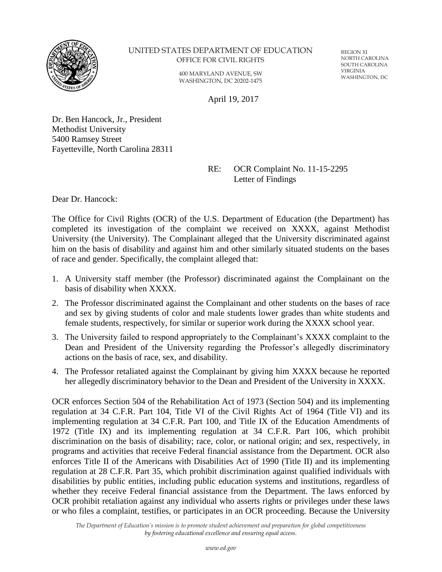

### UNITED STATES DEPARTMENT OF EDUCATION OFFICE FOR CIVIL RIGHTS

400 MARYLAND AVENUE, SW WASHINGTON, DC 20202-1475

REGION XI NORTH CAROLINA SOUTH CAROLINA VIRGINIA WASHINGTON, DC

April 19, 2017

Dr. Ben Hancock, Jr., President Methodist University 5400 Ramsey Street Fayetteville, North Carolina 28311

> RE: OCR Complaint No. 11-15-2295 Letter of Findings

Dear Dr. Hancock:

The Office for Civil Rights (OCR) of the U.S. Department of Education (the Department) has completed its investigation of the complaint we received on XXXX, against Methodist University (the University). The Complainant alleged that the University discriminated against him on the basis of disability and against him and other similarly situated students on the bases of race and gender. Specifically, the complaint alleged that:

- 1. A University staff member (the Professor) discriminated against the Complainant on the basis of disability when XXXX.
- 2. The Professor discriminated against the Complainant and other students on the bases of race and sex by giving students of color and male students lower grades than white students and female students, respectively, for similar or superior work during the XXXX school year.
- 3. The University failed to respond appropriately to the Complainant's XXXX complaint to the Dean and President of the University regarding the Professor's allegedly discriminatory actions on the basis of race, sex, and disability.
- 4. The Professor retaliated against the Complainant by giving him XXXX because he reported her allegedly discriminatory behavior to the Dean and President of the University in XXXX.

OCR enforces Section 504 of the Rehabilitation Act of 1973 (Section 504) and its implementing regulation at 34 C.F.R. Part 104, Title VI of the Civil Rights Act of 1964 (Title VI) and its implementing regulation at 34 C.F.R. Part 100, and Title IX of the Education Amendments of 1972 (Title IX) and its implementing regulation at 34 C.F.R. Part 106, which prohibit discrimination on the basis of disability; race, color, or national origin; and sex, respectively, in programs and activities that receive Federal financial assistance from the Department. OCR also enforces Title II of the Americans with Disabilities Act of 1990 (Title II) and its implementing regulation at 28 C.F.R. Part 35, which prohibit discrimination against qualified individuals with disabilities by public entities, including public education systems and institutions, regardless of whether they receive Federal financial assistance from the Department. The laws enforced by OCR prohibit retaliation against any individual who asserts rights or privileges under these laws or who files a complaint, testifies, or participates in an OCR proceeding. Because the University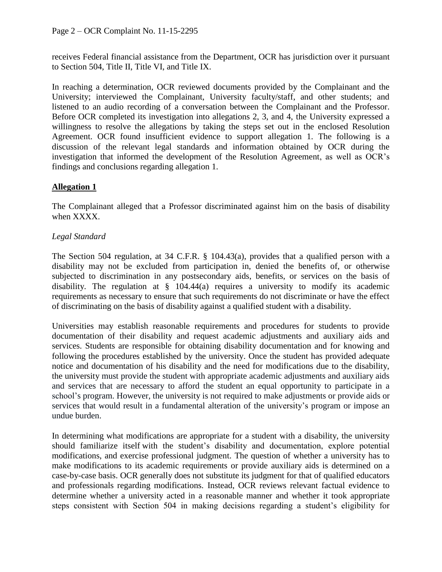receives Federal financial assistance from the Department, OCR has jurisdiction over it pursuant to Section 504, Title II, Title VI, and Title IX.

In reaching a determination, OCR reviewed documents provided by the Complainant and the University; interviewed the Complainant, University faculty/staff, and other students; and listened to an audio recording of a conversation between the Complainant and the Professor. Before OCR completed its investigation into allegations 2, 3, and 4, the University expressed a willingness to resolve the allegations by taking the steps set out in the enclosed Resolution Agreement. OCR found insufficient evidence to support allegation 1. The following is a discussion of the relevant legal standards and information obtained by OCR during the investigation that informed the development of the Resolution Agreement, as well as OCR's findings and conclusions regarding allegation 1.

# **Allegation 1**

The Complainant alleged that a Professor discriminated against him on the basis of disability when XXXX.

# *Legal Standard*

The Section 504 regulation, at 34 C.F.R. § 104.43(a), provides that a qualified person with a disability may not be excluded from participation in, denied the benefits of, or otherwise subjected to discrimination in any postsecondary aids, benefits, or services on the basis of disability. The regulation at  $\S$  104.44(a) requires a university to modify its academic requirements as necessary to ensure that such requirements do not discriminate or have the effect of discriminating on the basis of disability against a qualified student with a disability.

Universities may establish reasonable requirements and procedures for students to provide documentation of their disability and request academic adjustments and auxiliary aids and services. Students are responsible for obtaining disability documentation and for knowing and following the procedures established by the university. Once the student has provided adequate notice and documentation of his disability and the need for modifications due to the disability, the university must provide the student with appropriate academic adjustments and auxiliary aids and services that are necessary to afford the student an equal opportunity to participate in a school's program. However, the university is not required to make adjustments or provide aids or services that would result in a fundamental alteration of the university's program or impose an undue burden.

In determining what modifications are appropriate for a student with a disability, the university should familiarize itself with the student's disability and documentation, explore potential modifications, and exercise professional judgment. The question of whether a university has to make modifications to its academic requirements or provide auxiliary aids is determined on a case-by-case basis. OCR generally does not substitute its judgment for that of qualified educators and professionals regarding modifications. Instead, OCR reviews relevant factual evidence to determine whether a university acted in a reasonable manner and whether it took appropriate steps consistent with Section 504 in making decisions regarding a student's eligibility for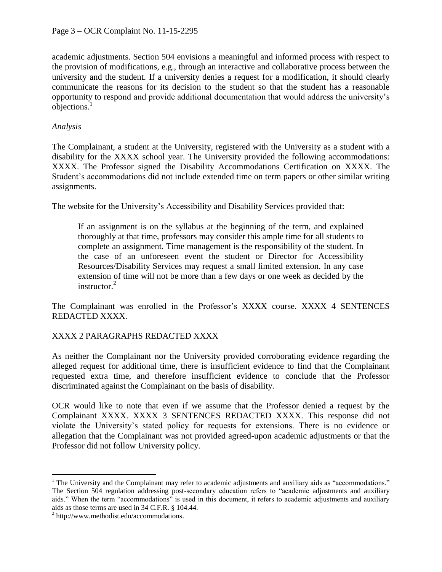academic adjustments. Section 504 envisions a meaningful and informed process with respect to the provision of modifications, e.g., through an interactive and collaborative process between the university and the student. If a university denies a request for a modification, it should clearly communicate the reasons for its decision to the student so that the student has a reasonable opportunity to respond and provide additional documentation that would address the university's objections.<sup>1</sup>

# *Analysis*

The Complainant, a student at the University, registered with the University as a student with a disability for the XXXX school year. The University provided the following accommodations: XXXX. The Professor signed the Disability Accommodations Certification on XXXX. The Student's accommodations did not include extended time on term papers or other similar writing assignments.

The website for the University's Accessibility and Disability Services provided that:

If an assignment is on the syllabus at the beginning of the term, and explained thoroughly at that time, professors may consider this ample time for all students to complete an assignment. Time management is the responsibility of the student. In the case of an unforeseen event the student or Director for Accessibility Resources/Disability Services may request a small limited extension. In any case extension of time will not be more than a few days or one week as decided by the instructor.<sup>2</sup>

The Complainant was enrolled in the Professor's XXXX course. XXXX 4 SENTENCES REDACTED XXXX.

# XXXX 2 PARAGRAPHS REDACTED XXXX

As neither the Complainant nor the University provided corroborating evidence regarding the alleged request for additional time, there is insufficient evidence to find that the Complainant requested extra time, and therefore insufficient evidence to conclude that the Professor discriminated against the Complainant on the basis of disability.

OCR would like to note that even if we assume that the Professor denied a request by the Complainant XXXX. XXXX 3 SENTENCES REDACTED XXXX. This response did not violate the University's stated policy for requests for extensions. There is no evidence or allegation that the Complainant was not provided agreed-upon academic adjustments or that the Professor did not follow University policy.

 $\overline{a}$ 

<sup>&</sup>lt;sup>1</sup> The University and the Complainant may refer to academic adjustments and auxiliary aids as "accommodations." The Section 504 regulation addressing post-secondary education refers to "academic adjustments and auxiliary aids." When the term "accommodations" is used in this document, it refers to academic adjustments and auxiliary aids as those terms are used in 34 C.F.R. § 104.44.

 $2$  http://www.methodist.edu/accommodations.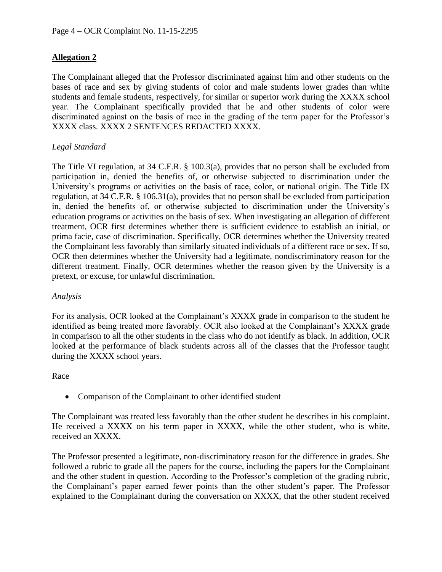# **Allegation 2**

The Complainant alleged that the Professor discriminated against him and other students on the bases of race and sex by giving students of color and male students lower grades than white students and female students, respectively, for similar or superior work during the XXXX school year. The Complainant specifically provided that he and other students of color were discriminated against on the basis of race in the grading of the term paper for the Professor's XXXX class. XXXX 2 SENTENCES REDACTED XXXX.

## *Legal Standard*

The Title VI regulation, at 34 C.F.R. § 100.3(a), provides that no person shall be excluded from participation in, denied the benefits of, or otherwise subjected to discrimination under the University's programs or activities on the basis of race, color, or national origin. The Title IX regulation, at 34 C.F.R. § 106.31(a), provides that no person shall be excluded from participation in, denied the benefits of, or otherwise subjected to discrimination under the University's education programs or activities on the basis of sex. When investigating an allegation of different treatment, OCR first determines whether there is sufficient evidence to establish an initial, or prima facie, case of discrimination. Specifically, OCR determines whether the University treated the Complainant less favorably than similarly situated individuals of a different race or sex. If so, OCR then determines whether the University had a legitimate, nondiscriminatory reason for the different treatment. Finally, OCR determines whether the reason given by the University is a pretext, or excuse, for unlawful discrimination.

### *Analysis*

For its analysis, OCR looked at the Complainant's XXXX grade in comparison to the student he identified as being treated more favorably. OCR also looked at the Complainant's XXXX grade in comparison to all the other students in the class who do not identify as black. In addition, OCR looked at the performance of black students across all of the classes that the Professor taught during the XXXX school years.

### Race

• Comparison of the Complainant to other identified student

The Complainant was treated less favorably than the other student he describes in his complaint. He received a XXXX on his term paper in XXXX, while the other student, who is white, received an XXXX.

The Professor presented a legitimate, non-discriminatory reason for the difference in grades. She followed a rubric to grade all the papers for the course, including the papers for the Complainant and the other student in question. According to the Professor's completion of the grading rubric, the Complainant's paper earned fewer points than the other student's paper. The Professor explained to the Complainant during the conversation on XXXX, that the other student received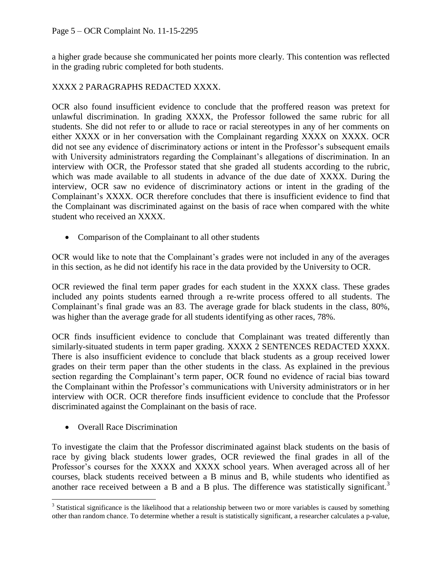a higher grade because she communicated her points more clearly. This contention was reflected in the grading rubric completed for both students.

# XXXX 2 PARAGRAPHS REDACTED XXXX.

OCR also found insufficient evidence to conclude that the proffered reason was pretext for unlawful discrimination. In grading XXXX, the Professor followed the same rubric for all students. She did not refer to or allude to race or racial stereotypes in any of her comments on either XXXX or in her conversation with the Complainant regarding XXXX on XXXX. OCR did not see any evidence of discriminatory actions or intent in the Professor's subsequent emails with University administrators regarding the Complainant's allegations of discrimination. In an interview with OCR, the Professor stated that she graded all students according to the rubric, which was made available to all students in advance of the due date of XXXX. During the interview, OCR saw no evidence of discriminatory actions or intent in the grading of the Complainant's XXXX. OCR therefore concludes that there is insufficient evidence to find that the Complainant was discriminated against on the basis of race when compared with the white student who received an XXXX.

• Comparison of the Complainant to all other students

OCR would like to note that the Complainant's grades were not included in any of the averages in this section, as he did not identify his race in the data provided by the University to OCR.

OCR reviewed the final term paper grades for each student in the XXXX class. These grades included any points students earned through a re-write process offered to all students. The Complainant's final grade was an 83. The average grade for black students in the class, 80%, was higher than the average grade for all students identifying as other races, 78%.

OCR finds insufficient evidence to conclude that Complainant was treated differently than similarly-situated students in term paper grading. XXXX 2 SENTENCES REDACTED XXXX. There is also insufficient evidence to conclude that black students as a group received lower grades on their term paper than the other students in the class. As explained in the previous section regarding the Complainant's term paper, OCR found no evidence of racial bias toward the Complainant within the Professor's communications with University administrators or in her interview with OCR. OCR therefore finds insufficient evidence to conclude that the Professor discriminated against the Complainant on the basis of race.

• Overall Race Discrimination

To investigate the claim that the Professor discriminated against black students on the basis of race by giving black students lower grades, OCR reviewed the final grades in all of the Professor's courses for the XXXX and XXXX school years. When averaged across all of her courses, black students received between a B minus and B, while students who identified as another race received between a B and a B plus. The difference was statistically significant.<sup>3</sup>

 $\overline{a}$  $3$  Statistical significance is the likelihood that a relationship between two or more variables is caused by something other than random chance. To determine whether a result is statistically significant, a researcher calculates a p-value,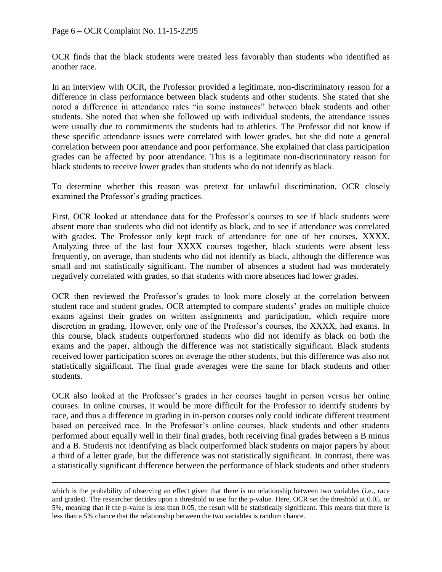$\overline{a}$ 

OCR finds that the black students were treated less favorably than students who identified as another race.

In an interview with OCR, the Professor provided a legitimate, non-discriminatory reason for a difference in class performance between black students and other students. She stated that she noted a difference in attendance rates "in some instances" between black students and other students. She noted that when she followed up with individual students, the attendance issues were usually due to commitments the students had to athletics. The Professor did not know if these specific attendance issues were correlated with lower grades, but she did note a general correlation between poor attendance and poor performance. She explained that class participation grades can be affected by poor attendance. This is a legitimate non-discriminatory reason for black students to receive lower grades than students who do not identify as black.

To determine whether this reason was pretext for unlawful discrimination, OCR closely examined the Professor's grading practices.

First, OCR looked at attendance data for the Professor's courses to see if black students were absent more than students who did not identify as black, and to see if attendance was correlated with grades. The Professor only kept track of attendance for one of her courses, XXXX. Analyzing three of the last four XXXX courses together, black students were absent less frequently, on average, than students who did not identify as black, although the difference was small and not statistically significant. The number of absences a student had was moderately negatively correlated with grades, so that students with more absences had lower grades.

OCR then reviewed the Professor's grades to look more closely at the correlation between student race and student grades. OCR attempted to compare students' grades on multiple choice exams against their grades on written assignments and participation, which require more discretion in grading. However, only one of the Professor's courses, the XXXX, had exams. In this course, black students outperformed students who did not identify as black on both the exams and the paper, although the difference was not statistically significant. Black students received lower participation scores on average the other students, but this difference was also not statistically significant. The final grade averages were the same for black students and other students.

OCR also looked at the Professor's grades in her courses taught in person versus her online courses. In online courses, it would be more difficult for the Professor to identify students by race, and thus a difference in grading in in-person courses only could indicate different treatment based on perceived race. In the Professor's online courses, black students and other students performed about equally well in their final grades, both receiving final grades between a B minus and a B. Students not identifying as black outperformed black students on major papers by about a third of a letter grade, but the difference was not statistically significant. In contrast, there was a statistically significant difference between the performance of black students and other students

which is the probability of observing an effect given that there is no relationship between two variables (i.e., race and grades). The researcher decides upon a threshold to use for the p-value. Here, OCR set the threshold at 0.05, or 5%, meaning that if the p-value is less than 0.05, the result will be statistically significant. This means that there is less than a 5% chance that the relationship between the two variables is random chance.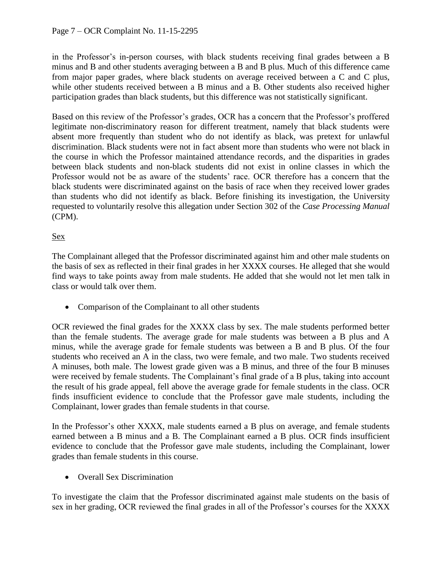in the Professor's in-person courses, with black students receiving final grades between a B minus and B and other students averaging between a B and B plus. Much of this difference came from major paper grades, where black students on average received between a C and C plus, while other students received between a B minus and a B. Other students also received higher participation grades than black students, but this difference was not statistically significant.

Based on this review of the Professor's grades, OCR has a concern that the Professor's proffered legitimate non-discriminatory reason for different treatment, namely that black students were absent more frequently than student who do not identify as black, was pretext for unlawful discrimination. Black students were not in fact absent more than students who were not black in the course in which the Professor maintained attendance records, and the disparities in grades between black students and non-black students did not exist in online classes in which the Professor would not be as aware of the students' race. OCR therefore has a concern that the black students were discriminated against on the basis of race when they received lower grades than students who did not identify as black. Before finishing its investigation, the University requested to voluntarily resolve this allegation under Section 302 of the *Case Processing Manual* (CPM).

# Sex

The Complainant alleged that the Professor discriminated against him and other male students on the basis of sex as reflected in their final grades in her XXXX courses. He alleged that she would find ways to take points away from male students. He added that she would not let men talk in class or would talk over them.

• Comparison of the Complainant to all other students

OCR reviewed the final grades for the XXXX class by sex. The male students performed better than the female students. The average grade for male students was between a B plus and A minus, while the average grade for female students was between a B and B plus. Of the four students who received an A in the class, two were female, and two male. Two students received A minuses, both male. The lowest grade given was a B minus, and three of the four B minuses were received by female students. The Complainant's final grade of a B plus, taking into account the result of his grade appeal, fell above the average grade for female students in the class. OCR finds insufficient evidence to conclude that the Professor gave male students, including the Complainant, lower grades than female students in that course.

In the Professor's other XXXX, male students earned a B plus on average, and female students earned between a B minus and a B. The Complainant earned a B plus. OCR finds insufficient evidence to conclude that the Professor gave male students, including the Complainant, lower grades than female students in this course.

• Overall Sex Discrimination

To investigate the claim that the Professor discriminated against male students on the basis of sex in her grading, OCR reviewed the final grades in all of the Professor's courses for the XXXX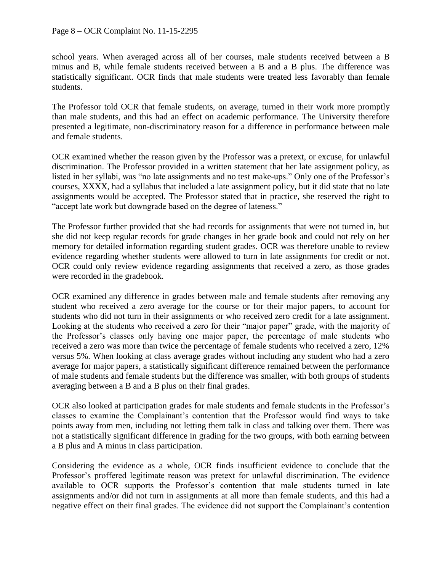school years. When averaged across all of her courses, male students received between a B minus and B, while female students received between a B and a B plus. The difference was statistically significant. OCR finds that male students were treated less favorably than female students.

The Professor told OCR that female students, on average, turned in their work more promptly than male students, and this had an effect on academic performance. The University therefore presented a legitimate, non-discriminatory reason for a difference in performance between male and female students.

OCR examined whether the reason given by the Professor was a pretext, or excuse, for unlawful discrimination. The Professor provided in a written statement that her late assignment policy, as listed in her syllabi, was "no late assignments and no test make-ups." Only one of the Professor's courses, XXXX, had a syllabus that included a late assignment policy, but it did state that no late assignments would be accepted. The Professor stated that in practice, she reserved the right to "accept late work but downgrade based on the degree of lateness."

The Professor further provided that she had records for assignments that were not turned in, but she did not keep regular records for grade changes in her grade book and could not rely on her memory for detailed information regarding student grades. OCR was therefore unable to review evidence regarding whether students were allowed to turn in late assignments for credit or not. OCR could only review evidence regarding assignments that received a zero, as those grades were recorded in the gradebook.

OCR examined any difference in grades between male and female students after removing any student who received a zero average for the course or for their major papers, to account for students who did not turn in their assignments or who received zero credit for a late assignment. Looking at the students who received a zero for their "major paper" grade, with the majority of the Professor's classes only having one major paper, the percentage of male students who received a zero was more than twice the percentage of female students who received a zero, 12% versus 5%. When looking at class average grades without including any student who had a zero average for major papers, a statistically significant difference remained between the performance of male students and female students but the difference was smaller, with both groups of students averaging between a B and a B plus on their final grades.

OCR also looked at participation grades for male students and female students in the Professor's classes to examine the Complainant's contention that the Professor would find ways to take points away from men, including not letting them talk in class and talking over them. There was not a statistically significant difference in grading for the two groups, with both earning between a B plus and A minus in class participation.

Considering the evidence as a whole, OCR finds insufficient evidence to conclude that the Professor's proffered legitimate reason was pretext for unlawful discrimination. The evidence available to OCR supports the Professor's contention that male students turned in late assignments and/or did not turn in assignments at all more than female students, and this had a negative effect on their final grades. The evidence did not support the Complainant's contention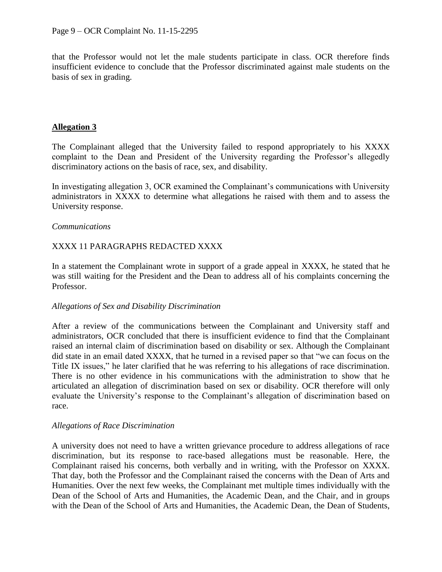that the Professor would not let the male students participate in class. OCR therefore finds insufficient evidence to conclude that the Professor discriminated against male students on the basis of sex in grading.

## **Allegation 3**

The Complainant alleged that the University failed to respond appropriately to his XXXX complaint to the Dean and President of the University regarding the Professor's allegedly discriminatory actions on the basis of race, sex, and disability.

In investigating allegation 3, OCR examined the Complainant's communications with University administrators in XXXX to determine what allegations he raised with them and to assess the University response.

## *Communications*

# XXXX 11 PARAGRAPHS REDACTED XXXX

In a statement the Complainant wrote in support of a grade appeal in XXXX, he stated that he was still waiting for the President and the Dean to address all of his complaints concerning the Professor.

### *Allegations of Sex and Disability Discrimination*

After a review of the communications between the Complainant and University staff and administrators, OCR concluded that there is insufficient evidence to find that the Complainant raised an internal claim of discrimination based on disability or sex. Although the Complainant did state in an email dated XXXX, that he turned in a revised paper so that "we can focus on the Title IX issues," he later clarified that he was referring to his allegations of race discrimination. There is no other evidence in his communications with the administration to show that he articulated an allegation of discrimination based on sex or disability. OCR therefore will only evaluate the University's response to the Complainant's allegation of discrimination based on race.

### *Allegations of Race Discrimination*

A university does not need to have a written grievance procedure to address allegations of race discrimination, but its response to race-based allegations must be reasonable. Here, the Complainant raised his concerns, both verbally and in writing, with the Professor on XXXX. That day, both the Professor and the Complainant raised the concerns with the Dean of Arts and Humanities. Over the next few weeks, the Complainant met multiple times individually with the Dean of the School of Arts and Humanities, the Academic Dean, and the Chair, and in groups with the Dean of the School of Arts and Humanities, the Academic Dean, the Dean of Students,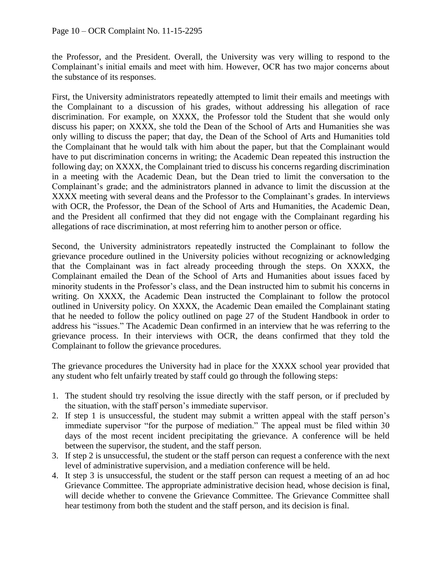the Professor, and the President. Overall, the University was very willing to respond to the Complainant's initial emails and meet with him. However, OCR has two major concerns about the substance of its responses.

First, the University administrators repeatedly attempted to limit their emails and meetings with the Complainant to a discussion of his grades, without addressing his allegation of race discrimination. For example, on XXXX, the Professor told the Student that she would only discuss his paper; on XXXX, she told the Dean of the School of Arts and Humanities she was only willing to discuss the paper; that day, the Dean of the School of Arts and Humanities told the Complainant that he would talk with him about the paper, but that the Complainant would have to put discrimination concerns in writing; the Academic Dean repeated this instruction the following day; on XXXX, the Complainant tried to discuss his concerns regarding discrimination in a meeting with the Academic Dean, but the Dean tried to limit the conversation to the Complainant's grade; and the administrators planned in advance to limit the discussion at the XXXX meeting with several deans and the Professor to the Complainant's grades. In interviews with OCR, the Professor, the Dean of the School of Arts and Humanities, the Academic Dean, and the President all confirmed that they did not engage with the Complainant regarding his allegations of race discrimination, at most referring him to another person or office.

Second, the University administrators repeatedly instructed the Complainant to follow the grievance procedure outlined in the University policies without recognizing or acknowledging that the Complainant was in fact already proceeding through the steps. On XXXX, the Complainant emailed the Dean of the School of Arts and Humanities about issues faced by minority students in the Professor's class, and the Dean instructed him to submit his concerns in writing. On XXXX, the Academic Dean instructed the Complainant to follow the protocol outlined in University policy. On XXXX, the Academic Dean emailed the Complainant stating that he needed to follow the policy outlined on page 27 of the Student Handbook in order to address his "issues." The Academic Dean confirmed in an interview that he was referring to the grievance process. In their interviews with OCR, the deans confirmed that they told the Complainant to follow the grievance procedures.

The grievance procedures the University had in place for the XXXX school year provided that any student who felt unfairly treated by staff could go through the following steps:

- 1. The student should try resolving the issue directly with the staff person, or if precluded by the situation, with the staff person's immediate supervisor.
- 2. If step 1 is unsuccessful, the student may submit a written appeal with the staff person's immediate supervisor "for the purpose of mediation." The appeal must be filed within 30 days of the most recent incident precipitating the grievance. A conference will be held between the supervisor, the student, and the staff person.
- 3. If step 2 is unsuccessful, the student or the staff person can request a conference with the next level of administrative supervision, and a mediation conference will be held.
- 4. It step 3 is unsuccessful, the student or the staff person can request a meeting of an ad hoc Grievance Committee. The appropriate administrative decision head, whose decision is final, will decide whether to convene the Grievance Committee. The Grievance Committee shall hear testimony from both the student and the staff person, and its decision is final.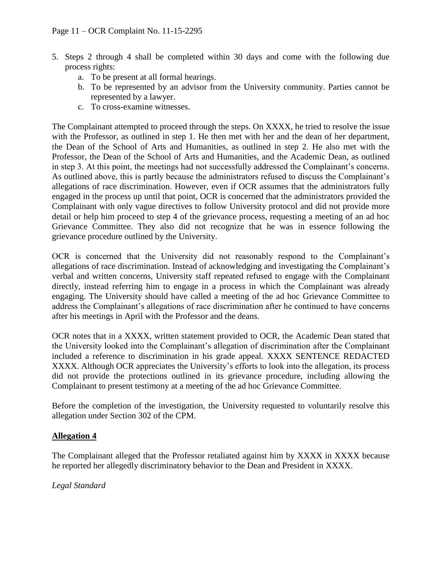- 5. Steps 2 through 4 shall be completed within 30 days and come with the following due process rights:
	- a. To be present at all formal hearings.
	- b. To be represented by an advisor from the University community. Parties cannot be represented by a lawyer.
	- c. To cross-examine witnesses.

The Complainant attempted to proceed through the steps. On XXXX, he tried to resolve the issue with the Professor, as outlined in step 1. He then met with her and the dean of her department, the Dean of the School of Arts and Humanities, as outlined in step 2. He also met with the Professor, the Dean of the School of Arts and Humanities, and the Academic Dean, as outlined in step 3. At this point, the meetings had not successfully addressed the Complainant's concerns. As outlined above, this is partly because the administrators refused to discuss the Complainant's allegations of race discrimination. However, even if OCR assumes that the administrators fully engaged in the process up until that point, OCR is concerned that the administrators provided the Complainant with only vague directives to follow University protocol and did not provide more detail or help him proceed to step 4 of the grievance process, requesting a meeting of an ad hoc Grievance Committee. They also did not recognize that he was in essence following the grievance procedure outlined by the University.

OCR is concerned that the University did not reasonably respond to the Complainant's allegations of race discrimination. Instead of acknowledging and investigating the Complainant's verbal and written concerns, University staff repeated refused to engage with the Complainant directly, instead referring him to engage in a process in which the Complainant was already engaging. The University should have called a meeting of the ad hoc Grievance Committee to address the Complainant's allegations of race discrimination after he continued to have concerns after his meetings in April with the Professor and the deans.

OCR notes that in a XXXX, written statement provided to OCR, the Academic Dean stated that the University looked into the Complainant's allegation of discrimination after the Complainant included a reference to discrimination in his grade appeal. XXXX SENTENCE REDACTED XXXX. Although OCR appreciates the University's efforts to look into the allegation, its process did not provide the protections outlined in its grievance procedure, including allowing the Complainant to present testimony at a meeting of the ad hoc Grievance Committee.

Before the completion of the investigation, the University requested to voluntarily resolve this allegation under Section 302 of the CPM.

# **Allegation 4**

The Complainant alleged that the Professor retaliated against him by XXXX in XXXX because he reported her allegedly discriminatory behavior to the Dean and President in XXXX.

*Legal Standard*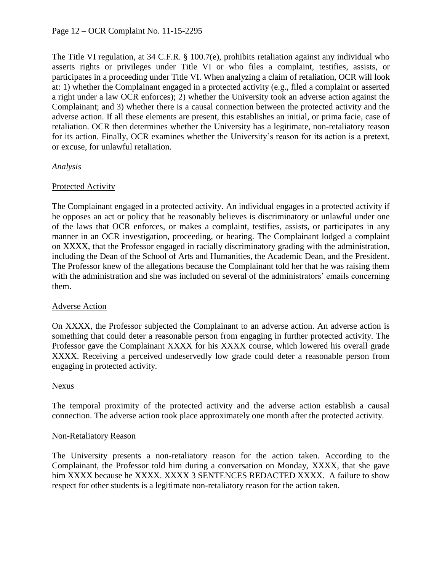The Title VI regulation, at 34 C.F.R. § 100.7(e), prohibits retaliation against any individual who asserts rights or privileges under Title VI or who files a complaint, testifies, assists, or participates in a proceeding under Title VI. When analyzing a claim of retaliation, OCR will look at: 1) whether the Complainant engaged in a protected activity (e.g., filed a complaint or asserted a right under a law OCR enforces); 2) whether the University took an adverse action against the Complainant; and 3) whether there is a causal connection between the protected activity and the adverse action. If all these elements are present, this establishes an initial, or prima facie, case of retaliation. OCR then determines whether the University has a legitimate, non-retaliatory reason for its action. Finally, OCR examines whether the University's reason for its action is a pretext, or excuse, for unlawful retaliation.

## *Analysis*

## Protected Activity

The Complainant engaged in a protected activity. An individual engages in a protected activity if he opposes an act or policy that he reasonably believes is discriminatory or unlawful under one of the laws that OCR enforces, or makes a complaint, testifies, assists, or participates in any manner in an OCR investigation, proceeding, or hearing. The Complainant lodged a complaint on XXXX, that the Professor engaged in racially discriminatory grading with the administration, including the Dean of the School of Arts and Humanities, the Academic Dean, and the President. The Professor knew of the allegations because the Complainant told her that he was raising them with the administration and she was included on several of the administrators' emails concerning them.

# Adverse Action

On XXXX, the Professor subjected the Complainant to an adverse action. An adverse action is something that could deter a reasonable person from engaging in further protected activity. The Professor gave the Complainant XXXX for his XXXX course, which lowered his overall grade XXXX. Receiving a perceived undeservedly low grade could deter a reasonable person from engaging in protected activity.

### Nexus

The temporal proximity of the protected activity and the adverse action establish a causal connection. The adverse action took place approximately one month after the protected activity.

### Non-Retaliatory Reason

The University presents a non-retaliatory reason for the action taken. According to the Complainant, the Professor told him during a conversation on Monday, XXXX, that she gave him XXXX because he XXXX. XXXX 3 SENTENCES REDACTED XXXX. A failure to show respect for other students is a legitimate non-retaliatory reason for the action taken.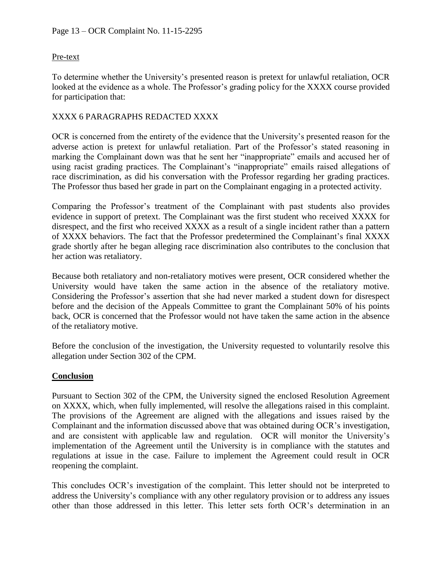## Pre-text

To determine whether the University's presented reason is pretext for unlawful retaliation, OCR looked at the evidence as a whole. The Professor's grading policy for the XXXX course provided for participation that:

## XXXX 6 PARAGRAPHS REDACTED XXXX

OCR is concerned from the entirety of the evidence that the University's presented reason for the adverse action is pretext for unlawful retaliation. Part of the Professor's stated reasoning in marking the Complainant down was that he sent her "inappropriate" emails and accused her of using racist grading practices. The Complainant's "inappropriate" emails raised allegations of race discrimination, as did his conversation with the Professor regarding her grading practices. The Professor thus based her grade in part on the Complainant engaging in a protected activity.

Comparing the Professor's treatment of the Complainant with past students also provides evidence in support of pretext. The Complainant was the first student who received XXXX for disrespect, and the first who received XXXX as a result of a single incident rather than a pattern of XXXX behaviors. The fact that the Professor predetermined the Complainant's final XXXX grade shortly after he began alleging race discrimination also contributes to the conclusion that her action was retaliatory.

Because both retaliatory and non-retaliatory motives were present, OCR considered whether the University would have taken the same action in the absence of the retaliatory motive. Considering the Professor's assertion that she had never marked a student down for disrespect before and the decision of the Appeals Committee to grant the Complainant 50% of his points back, OCR is concerned that the Professor would not have taken the same action in the absence of the retaliatory motive.

Before the conclusion of the investigation, the University requested to voluntarily resolve this allegation under Section 302 of the CPM.

### **Conclusion**

Pursuant to Section 302 of the CPM, the University signed the enclosed Resolution Agreement on XXXX, which, when fully implemented, will resolve the allegations raised in this complaint. The provisions of the Agreement are aligned with the allegations and issues raised by the Complainant and the information discussed above that was obtained during OCR's investigation, and are consistent with applicable law and regulation. OCR will monitor the University's implementation of the Agreement until the University is in compliance with the statutes and regulations at issue in the case. Failure to implement the Agreement could result in OCR reopening the complaint.

This concludes OCR's investigation of the complaint. This letter should not be interpreted to address the University's compliance with any other regulatory provision or to address any issues other than those addressed in this letter. This letter sets forth OCR's determination in an